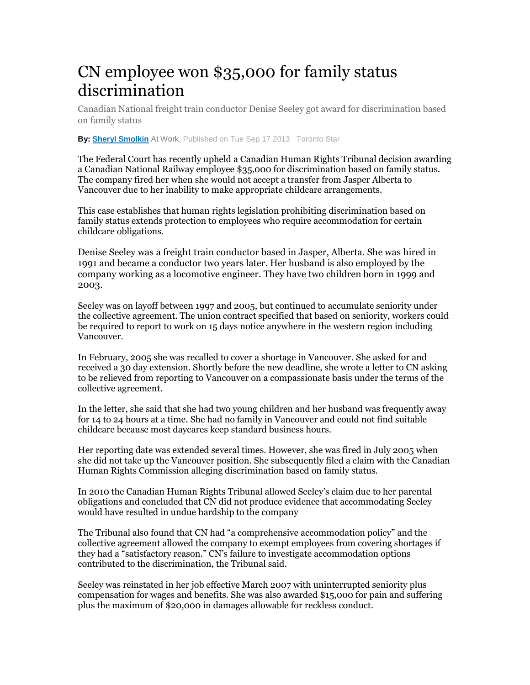## CN employee won \$35,000 for family status discrimination

Canadian National freight train conductor Denise Seeley got award for discrimination based on family status

**By: Sheryl Smolkin** At Work, Published on Tue Sep 17 2013 Toronto Star

The Federal Court has recently upheld a Canadian Human Rights Tribunal decision awarding a Canadian National Railway employee \$35,000 for discrimination based on family status. The company fired her when she would not accept a transfer from Jasper Alberta to Vancouver due to her inability to make appropriate childcare arrangements.

This case establishes that human rights legislation prohibiting discrimination based on family status extends protection to employees who require accommodation for certain childcare obligations.

Denise Seeley was a freight train conductor based in Jasper, Alberta. She was hired in 1991 and became a conductor two years later. Her husband is also employed by the company working as a locomotive engineer. They have two children born in 1999 and 2003.**BlackBerry parties with Alicia Keys**

Seeley was on layoff between 1997 and 2005, but continued to accumulate seniority under the collective agreement. The union contract specified that based on seniority, workers could be required to report to work on 15 days notice anywhere in the western region including Vancouver.

In February, 2005 she was recalled to cover a shortage in Vancouver. She asked for and received a 30 day extension. Shortly before the new deadline, she wrote a letter to CN asking to be relieved from reporting to Vancouver on a compassionate basis under the terms of the collective agreement.

In the letter, she said that she had two young children and her husband was frequently away for 14 to 24 hours at a time. She had no family in Vancouver and could not find suitable childcare because most daycares keep standard business hours.

Her reporting date was extended several times. However, she was fired in July 2005 when she did not take up the Vancouver position. She subsequently filed a claim with the Canadian Human Rights Commission alleging discrimination based on family status.

In 2010 the Canadian Human Rights Tribunal allowed Seeley's claim due to her parental obligations and concluded that CN did not produce evidence that accommodating Seeley would have resulted in undue hardship to the company

The Tribunal also found that CN had "a comprehensive accommodation policy" and the collective agreement allowed the company to exempt employees from covering shortages if they had a "satisfactory reason." CN's failure to investigate accommodation options contributed to the discrimination, the Tribunal said.

Seeley was reinstated in her job effective March 2007 with uninterrupted seniority plus compensation for wages and benefits. She was also awarded \$15,000 for pain and suffering plus the maximum of \$20,000 in damages allowable for reckless conduct.